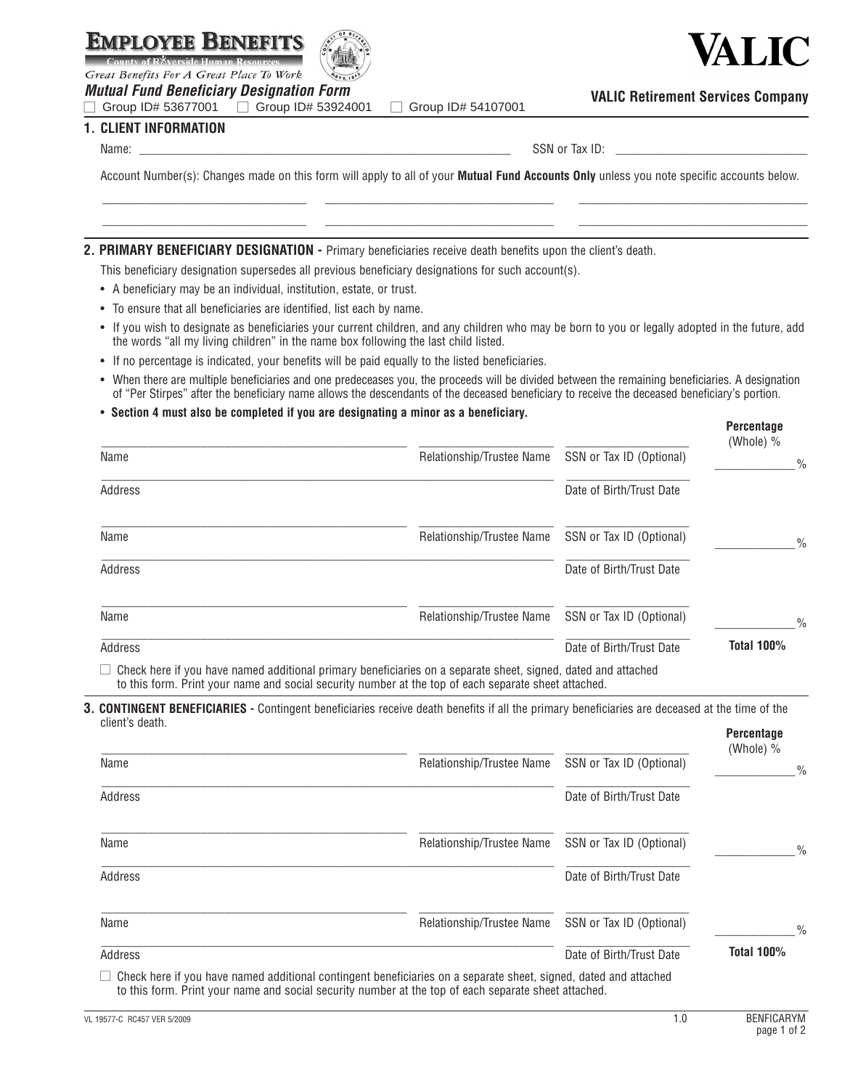

**1. CLIENT INFORMATION** 



Great Benefits For A Great Place To Work

*<i>Mutual Fund Beneficiary Designation Form*<br>
□ Group ID# 53677001 □ Group ID# 53924001 □ Group ID# 53677001 □ Group ID# 53924001 □ Group ID# 54107001

ALIC

**VALIC Retirement Services Company**

Name: \_\_\_\_\_\_\_\_\_\_\_\_\_\_\_\_\_\_\_\_\_\_\_\_\_\_\_\_\_\_\_\_\_\_\_\_\_\_\_\_\_\_\_\_\_\_\_\_\_\_\_\_\_\_\_\_\_\_\_\_ SSN or Tax ID: \_\_\_\_\_\_\_\_\_\_\_\_\_\_\_\_\_\_\_\_\_\_\_\_\_\_\_\_\_\_\_

Account Number(s): Changes made on this form will apply to all of your **Mutual Fund Accounts Only** unless you note specific accounts below. \_\_\_\_\_\_\_\_\_\_\_\_\_\_\_\_\_\_\_\_\_\_\_\_\_\_\_\_\_\_\_\_\_ \_\_\_\_\_\_\_\_\_\_\_\_\_\_\_\_\_\_\_\_\_\_\_\_\_\_\_\_\_\_\_\_\_\_\_\_\_ \_\_\_\_\_\_\_\_\_\_\_\_\_\_\_\_\_\_\_\_\_\_\_\_\_\_\_\_\_\_\_\_\_\_\_\_\_

\_\_\_\_\_\_\_\_\_\_\_\_\_\_\_\_\_\_\_\_\_\_\_\_\_\_\_\_\_\_\_\_\_ \_\_\_\_\_\_\_\_\_\_\_\_\_\_\_\_\_\_\_\_\_\_\_\_\_\_\_\_\_\_\_\_\_\_\_\_\_ \_\_\_\_\_\_\_\_\_\_\_\_\_\_\_\_\_\_\_\_\_\_\_\_\_\_\_\_\_\_\_\_\_\_\_\_\_

### **2. Primary BENEFICIARY DESIGNATION -** Primary beneficiaries receive death benefits upon the client's death.

This beneficiary designation supersedes all previous beneficiary designations for such account(s).

- A beneficiary may be an individual, institution, estate, or trust.
- To ensure that all beneficiaries are identified, list each by name.
- If you wish to designate as beneficiaries your current children, and any children who may be born to you or legally adopted in the future, add the words "all my living children" in the name box following the last child listed.
- If no percentage is indicated, your benefits will be paid equally to the listed beneficiaries.
- When there are multiple beneficiaries and one predeceases you, the proceeds will be divided between the remaining beneficiaries. A designation of "Per Stirpes" after the beneficiary name allows the descendants of the deceased beneficiary to receive the deceased beneficiary's portion.

#### • **Section 4 must also be completed if you are designating a minor as a beneficiary.**

|                                                                                                                      |                           |                          | <b>Percentage</b><br>(Whole) % |               |
|----------------------------------------------------------------------------------------------------------------------|---------------------------|--------------------------|--------------------------------|---------------|
| Name                                                                                                                 | Relationship/Trustee Name | SSN or Tax ID (Optional) |                                | $\frac{0}{0}$ |
| Address                                                                                                              |                           | Date of Birth/Trust Date |                                |               |
| Name                                                                                                                 | Relationship/Trustee Name | SSN or Tax ID (Optional) |                                | $\frac{0}{0}$ |
| Address                                                                                                              |                           | Date of Birth/Trust Date |                                |               |
| Name                                                                                                                 | Relationship/Trustee Name | SSN or Tax ID (Optional) |                                | $\frac{0}{0}$ |
| Address                                                                                                              |                           | Date of Birth/Trust Date | <b>Total 100%</b>              |               |
| $\Box$ Check here if you have named additional primary beneficiaries on a separate sheet, signed, dated and attached |                           |                          |                                |               |

to this form. Print your name and social security number at the top of each separate sheet attached.

**3. Contingent Beneficiaries -** Contingent beneficiaries receive death benefits if all the primary beneficiaries are deceased at the time of the client's death. **Percentage**

|                                                                                                                                                                                                                                 |                           |                          | .<br>(Whole) % |
|---------------------------------------------------------------------------------------------------------------------------------------------------------------------------------------------------------------------------------|---------------------------|--------------------------|----------------|
| Name                                                                                                                                                                                                                            | Relationship/Trustee Name | SSN or Tax ID (Optional) | $\frac{0}{0}$  |
| Address                                                                                                                                                                                                                         |                           | Date of Birth/Trust Date |                |
| Name                                                                                                                                                                                                                            | Relationship/Trustee Name | SSN or Tax ID (Optional) | $\frac{0}{0}$  |
| Address                                                                                                                                                                                                                         |                           | Date of Birth/Trust Date |                |
| Name                                                                                                                                                                                                                            | Relationship/Trustee Name | SSN or Tax ID (Optional) | $\frac{0}{0}$  |
| Address                                                                                                                                                                                                                         |                           | Date of Birth/Trust Date | Total 100%     |
| $\Box$ Check here if you have named additional contingent beneficiaries on a separate sheet, signed, dated and attached<br>to this form. Print your name and social security number at the top of each separate sheet attached. |                           |                          |                |

VL 19577-C RC457 VER 5/2009 **BENFICARYM BENFICARYM 1.0 BENFICARYM**